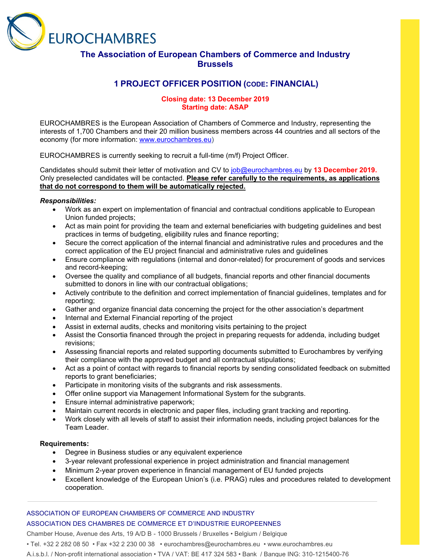

# **The Association of European Chambers of Commerce and Industry Brussels**

# **1 PROJECT OFFICER POSITION (CODE: FINANCIAL)**

## **Closing date: 13 December 2019 Starting date: ASAP**

EUROCHAMBRES is the European Association of Chambers of Commerce and Industry, representing the interests of 1,700 Chambers and their 20 million business members across 44 countries and all sectors of the economy (for more information: [www.eurochambres.eu\)](http://www.eurochambres.eu/)

EUROCHAMBRES is currently seeking to recruit a full-time (m/f) Project Officer.

Candidates should submit their letter of motivation and CV to [job@eurochambres.eu](mailto:job@eurochambres.eu) by **13 December 2019.** Only preselected candidates will be contacted. **Please refer carefully to the requirements, as applications that do not correspond to them will be automatically rejected.**

## *Responsibilities:*

- Work as an expert on implementation of financial and contractual conditions applicable to European Union funded projects;
- Act as main point for providing the team and external beneficiaries with budgeting guidelines and best practices in terms of budgeting, eligibility rules and finance reporting;
- Secure the correct application of the internal financial and administrative rules and procedures and the correct application of the EU project financial and administrative rules and guidelines
- Ensure compliance with regulations (internal and donor-related) for procurement of goods and services and record-keeping;
- Oversee the quality and compliance of all budgets, financial reports and other financial documents submitted to donors in line with our contractual obligations;
- Actively contribute to the definition and correct implementation of financial guidelines, templates and for reporting;
- Gather and organize financial data concerning the project for the other association's department
- Internal and External Financial reporting of the project
- Assist in external audits, checks and monitoring visits pertaining to the project
- Assist the Consortia financed through the project in preparing requests for addenda, including budget revisions;
- Assessing financial reports and related supporting documents submitted to Eurochambres by verifying their compliance with the approved budget and all contractual stipulations;
- Act as a point of contact with regards to financial reports by sending consolidated feedback on submitted reports to grant beneficiaries;
- Participate in monitoring visits of the subgrants and risk assessments.
- Offer online support via Management Informational System for the subgrants.
- Ensure internal administrative paperwork;
- Maintain current records in electronic and paper files, including grant tracking and reporting.
- Work closely with all levels of staff to assist their information needs, including project balances for the Team Leader.

#### **Requirements:**

- Degree in Business studies or any equivalent experience
- 3-year relevant professional experience in project administration and financial management
- Minimum 2-year proven experience in financial management of EU funded projects
- Excellent knowledge of the European Union's (i.e. PRAG) rules and procedures related to development cooperation.

## ASSOCIATION OF EUROPEAN CHAMBERS OF COMMERCE AND INDUSTRY ASSOCIATION DES CHAMBRES DE COMMERCE ET D'INDUSTRIE EUROPEENNES

Chamber House, Avenue des Arts, 19 A/D B - 1000 Brussels / Bruxelles • Belgium / Belgique

• Tel. +32 2 282 08 50 • Fax +32 2 230 00 38 • eurochambres@eurochambres.eu • www.eurochambres.eu

A.i.s.b.l. / Non-profit international association • TVA / VAT: BE 417 324 583 • Bank / Banque ING: 310-1215400-76